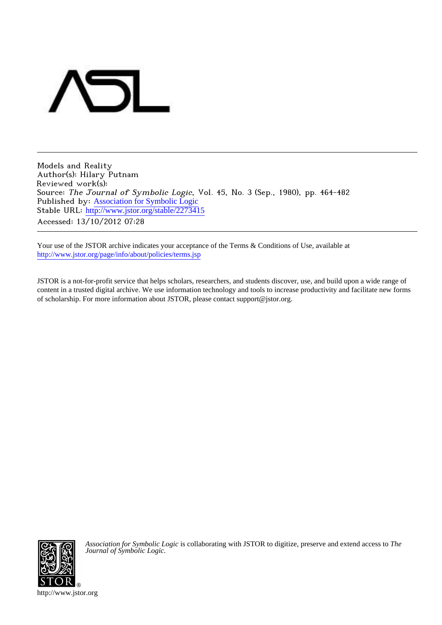

Models and Reality Author(s): Hilary Putnam Reviewed work(s): Source: The Journal of Symbolic Logic, Vol. 45, No. 3 (Sep., 1980), pp. 464-482 Published by: [Association for Symbolic Logic](http://www.jstor.org/action/showPublisher?publisherCode=asl) Stable URL: [http://www.jstor.org/stable/2273415](http://www.jstor.org/stable/2273415?origin=JSTOR-pdf) Accessed: 13/10/2012 07:28

Your use of the JSTOR archive indicates your acceptance of the Terms & Conditions of Use, available at <http://www.jstor.org/page/info/about/policies/terms.jsp>

JSTOR is a not-for-profit service that helps scholars, researchers, and students discover, use, and build upon a wide range of content in a trusted digital archive. We use information technology and tools to increase productivity and facilitate new forms of scholarship. For more information about JSTOR, please contact support@jstor.org.



*Association for Symbolic Logic* is collaborating with JSTOR to digitize, preserve and extend access to *The Journal of Symbolic Logic.*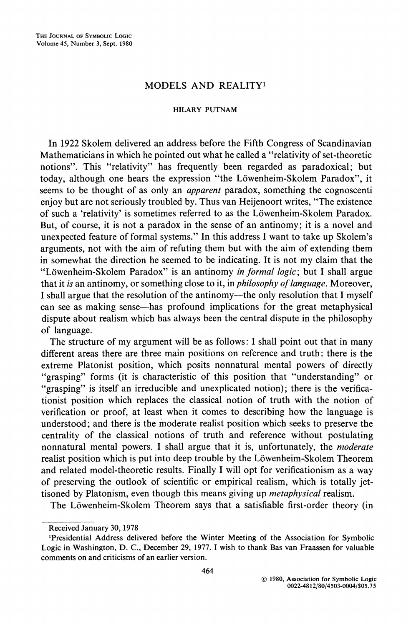## **MODELS AND REALITY1**

## **HILARY PUTNAM**

**In 1922 Skolem delivered an address before the Fifth Congress of Scandinavian Mathematicians in which he pointed out what he called a "relativity of set-theoretic notions". This "relativity" has frequently been regarded as paradoxical; but**  today, although one hears the expression "the Löwenheim-Skolem Paradox", it seems to be thought of as only an *apparent* paradox, something the cognoscenti **enjoy but are not seriously troubled by. Thus van Heijenoort writes, "The existence**  of such a 'relativity' is sometimes referred to as the Löwenheim-Skolem Paradox. **But, of course, it is not a paradox in the sense of an antinomy; it is a novel and unexpected feature of formal systems." In this address I want to take up Skolem's arguments, not with the aim of refuting them but with the aim of extending them in somewhat the direction he seemed to be indicating. It is not my claim that the "L6wenheim-Skolem Paradox" is an antinomy in formal logic; but I shall argue that it is an antinomy, or something close to it, in philosophy of language. Moreover,**  I shall argue that the resolution of the antinomy—the only resolution that I myself can see as making sense—has profound implications for the great metaphysical **dispute about realism which has always been the central dispute in the philosophy of language.** 

**The structure of my argument will be as follows: I shall point out that in many different areas there are three main positions on reference and truth: there is the extreme Platonist position, which posits nonnatural mental powers of directly "grasping" forms (it is characteristic of this position that "understanding" or**  "grasping" is itself an irreducible and unexplicated notion); there is the verifica**tionist position which replaces the classical notion of truth with the notion of verification or proof, at least when it comes to describing how the language is understood; and there is the moderate realist position which seeks to preserve the centrality of the classical notions of truth and reference without postulating nonnatural mental powers. I shall argue that it is, unfortunately, the moderate**  realist position which is put into deep trouble by the Löwenheim-Skolem Theorem **and related model-theoretic results. Finally I will opt for verificationism as a way of preserving the outlook of scientific or empirical realism, which is totally jettisoned by Platonism, even though this means giving up metaphysical realism.** 

The Löwenheim-Skolem Theorem says that a satisfiable first-order theory (in

**Received January 30, 1978** 

**<sup>&#</sup>x27;Presidential Address delivered before the Winter Meeting of the Association for Symbolic Logic in Washington, D. C., December 29, 1977. I wish to thank Bas van Fraassen for valuable comments on and criticisms of an earlier version.**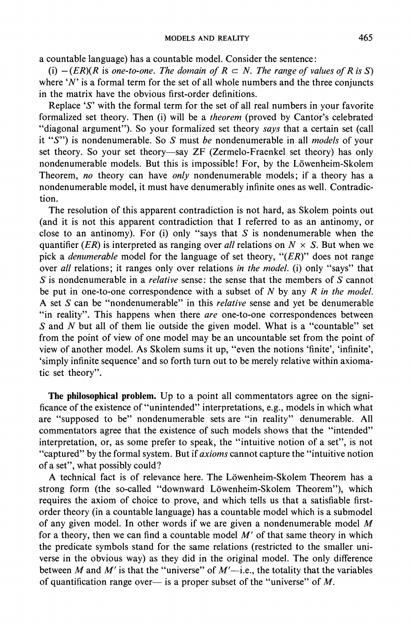**a countable language) has a countable model. Consider the sentence:** 

(i)  $-(ER)(R)$  is one-to-one. The domain of  $R \subset N$ . The range of values of R is S) **where 'N' is a formal term for the set of all whole numbers and the three conjuncts in the matrix have the obvious first-order definitions.** 

**Replace 'S' with the formal term for the set of all real numbers in your favorite formalized set theory. Then (i) will be a theorem (proved by Cantor's celebrated "diagonal argument"). So your formalized set theory says that a certain set (call it "S") is nondenumerable. So S must be nondenumerable in all models of your set theory. So your set theory-say ZF (Zermelo-Fraenkel set theory) has only**  nondenumerable models. But this is impossible! For, by the Löwenheim-Skolem **Theorem, no theory can have only nondenumerable models; if a theory has a nondenumerable model, it must have denumerably infinite ones as well. Contradiction.** 

**The resolution of this apparent contradiction is not hard, as Skolem points out (and it is not this apparent contradiction that I referred to as an antinomy, or close to an antinomy). For (i) only "says that S is nondenumerable when the**  quantifier (*ER*) is interpreted as ranging over *all* relations on  $N \times S$ . But when we **pick a denumerable model for the language of set theory, "(ER)" does not range over all relations; it ranges only over relations in the model. (i) only "says" that S is nondenumerable in a relative sense: the sense that the members of S cannot be put in one-to-one correspondence with a subset of N by any R in the model. A set S can be "nondenumerable" in this relative sense and yet be denumerable "in reality". This happens when there are one-to-one correspondences between S and N but all of them lie outside the given model. What is a "countable" set from the point of view of one model may be an uncountable set from the point of view of another model. As Skolem sums it up, "even the notions 'finite', 'infinite', 'simply infinite sequence' and so forth turn out to be merely relative within axiomatic set theory".** 

**The philosophical problem. Up to a point all commentators agree on the significance of the existence of "unintended" interpretations, e.g., models in which what are "supposed to be" nondenumerable sets are "in reality" denumerable. All commentators agree that the existence of such models shows that the "intended" interpretation, or, as some prefer to speak, the "intuitive notion of a set", is not "captured" by the formal system. But if axioms cannot capture the "intuitive notion of a set", what possibly could?** 

A technical fact is of relevance here. The Löwenheim-Skolem Theorem has a strong form (the so-called "downward Löwenheim-Skolem Theorem"), which **requires the axiom of choice to prove, and which tells us that a satisfiable firstorder theory (in a countable language) has a countable model which is a submodel of any given model. In other words if we are given a nondenumerable model M for a theory, then we can find a countable model M' of that same theory in which the predicate symbols stand for the same relations (restricted to the smaller universe in the obvious way) as they did in the original model. The only difference**  between M and M' is that the "universe" of  $M'$ -i.e., the totality that the variables of quantification range over— is a proper subset of the "universe" of M.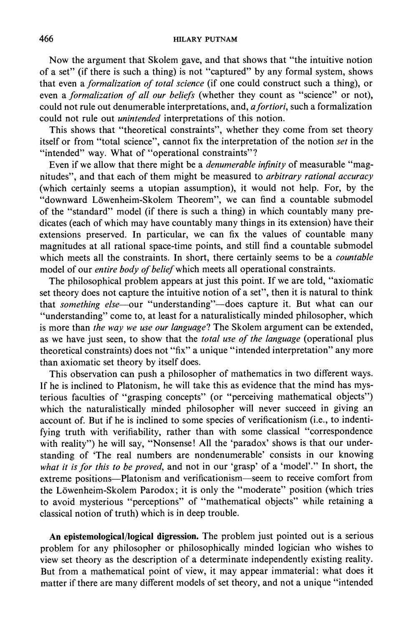**Now the argument that Skolem gave, and that shows that "the intuitive notion of a set" (if there is such a thing) is not "captured" by any formal system, shows that even a formalization of total science (if one could construct such a thing), or even a formalization of all our beliefs (whether they count as "science" or not), could not rule out denumerable interpretations, and, afortiori, such a formalization could not rule out unintended interpretations of this notion.** 

**This shows that "theoretical constraints", whether they come from set theory itself or from "total science", cannot fix the interpretation of the notion set in the "intended" way. What of "operational constraints"?** 

**Even if we allow that there might be a denumerable infinity of measurable "magnitudes", and that each of them might be measured to arbitrary rational accuracy (which certainly seems a utopian assumption), it would not help. For, by the**  "downward Löwenheim-Skolem Theorem", we can find a countable submodel **of the "standard" model (if there is such a thing) in which countably many predicates (each of which may have countably many things in its extension) have their extensions preserved. In particular, we can fix the values of countable many magnitudes at all rational space-time points, and still find a countable submodel which meets all the constraints. In short, there certainly seems to be a countable model of our entire body of belief which meets all operational constraints.** 

**The philosophical problem appears at just this point. If we are told, "axiomatic set theory does not capture the intuitive notion of a set", then it is natural to think that something else-our "understanding"-does capture it. But what can our "understanding" come to, at least for a naturalistically minded philosopher, which is more than the way we use our language? The Skolem argument can be extended, as we have just seen, to show that the total use of the language (operational plus theoretical constraints) does not "fix" a unique "intended interpretation" any more than axiomatic set theory by itself does.** 

**This observation can push a philosopher of mathematics in two different ways. If he is inclined to Platonism, he will take this as evidence that the mind has mysterious faculties of "grasping concepts" (or "perceiving mathematical objects") which the naturalistically minded philosopher will never succeed in giving an account of. But if he is inclined to some species of verificationism (i.e., to indentifying truth with verifiability, rather than with some classical "correspondence**  with reality") he will say, "Nonsense! All the 'paradox' shows is that our under**standing of 'The real numbers are nondenumerable' consists in our knowing what it is for this to be proved, and not in our 'grasp' of a 'model'." In short, the extreme positions-Platonism and verificationism-seem to receive comfort from**  the Löwenheim-Skolem Parodox; it is only the "moderate" position (which tries **to avoid mysterious "perceptions" of "mathematical objects" while retaining a classical notion of truth) which is in deep trouble.** 

**An epistemological/logical digression. The problem just pointed out is a serious problem for any philosopher or philosophically minded logician who wishes to view set theory as the description of a determinate independently existing reality. But from a mathematical point of view, it may appear immaterial: what does it matter if there are many different models of set theory, and not a unique "intended**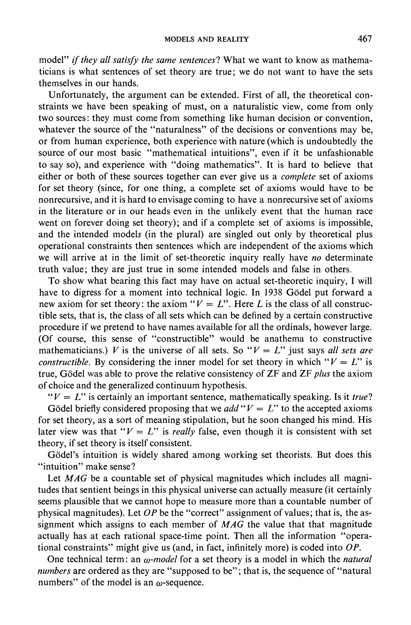model" *if they all satisfy the same sentences*? What we want to know as mathema**ticians is what sentences of set theory are true; we do not want to have the sets themselves in our hands.** 

**Unfortunately, the argument can be extended. First of all, the theoretical constraints we have been speaking of must, on a naturalistic view, come from only two sources: they must come from something like human decision or convention, whatever the source of the "naturalness" of the decisions or conventions may be, or from human experience, both experience with nature (which is undoubtedly the source of our most basic "mathematical intuitions", even if it be unfashionable to say so), and experience with "doing mathematics". It is hard to believe that either or both of these sources together can ever give us a complete set of axioms for set theory (since, for one thing, a complete set of axioms would have to be nonrecursive, and it is hard to envisage coming to have a nonrecursive set of axioms in the literature or in our heads even in the unlikely event that the human race went on forever doing set theory); and if a complete set of axioms is impossible, and the intended models (in the plural) are singled out only by theoretical plus operational constraints then sentences which are independent of the axioms which we will arrive at in the limit of set-theoretic inquiry really have no determinate truth value; they are just true in some intended models and false in others.** 

**To show what bearing this fact may have on actual set-theoretic inquiry, I will have to digress for a moment into technical logic. In 1938 Godel put forward a**  new axiom for set theory: the axiom " $V = L$ ". Here L is the class of all construc**tible sets, that is, the class of all sets which can be defined by a certain constructive procedure if we pretend to have names available for all the ordinals, however large. (Of course, this sense of "constructible" would be anathema to constructive**  mathematicians.) V is the universe of all sets. So " $V = L$ " just says *all sets are constructible.* By considering the inner model for set theory in which " $V = L$ " is **true, G6del was able to prove the relative consistency of ZF and ZF plus the axiom of choice and the generalized continuum hypothesis.** 

 $"V = L"$  is certainly an important sentence, mathematically speaking. Is it *true*? Gödel briefly considered proposing that we *add* " $V = L$ " to the accepted axioms **for set theory, as a sort of meaning stipulation, but he soon changed his mind. His**  later view was that " $V = L$ " is *really* false, even though it is consistent with set **theory, if set theory is itself consistent.** 

Gödel's intuition is widely shared among working set theorists. But does this **"intuition" make sense?** 

Let *MAG* be a countable set of physical magnitudes which includes all magni**tudes that sentient beings in this physical universe can actually measure (it certainly seems plausible that we cannot hope to measure more than a countable number of physical magnitudes). Let OP be the "correct" assignment of values; that is, the assignment which assigns to each member of MAG the value that that magnitude actually has at each rational space-time point. Then all the information "operational constraints" might give us (and, in fact, infinitely more) is coded into OP.** 

One technical term: an  $\omega$ -model for a set theory is a model in which the *natural* **numbers are ordered as they are "supposed to be"; that is, the sequence of "natural**  numbers" of the model is an  $\omega$ -sequence.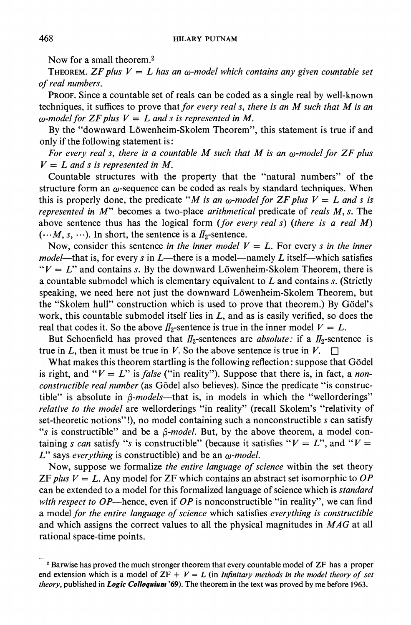**Now for a small theorem.2** 

**THEOREM.** *ZF* **plus**  $V = L$  **has an**  $\omega$ **-model which contains any given countable set of real numbers.** 

**PROOF. Since a countable set of reals can be coded as a single real by well-known techniques, it suffices to prove that for every real s, there is an M such that M is an**   $\omega$ -model for ZF plus  $V = L$  and s is represented in M.

By the "downward Löwenheim-Skolem Theorem", this statement is true if and **only if the following statement is:** 

For every real  $s$ , there is a countable  $M$  such that  $M$  is an  $\omega$ -model for  $ZF$  plus  $V = L$  and s is represented in M.

**Countable structures with the property that the "natural numbers" of the**  structure form an  $\omega$ -sequence can be coded as reals by standard techniques. When this is properly done, the predicate "M is an  $\omega$ -model for ZF plus  $V = L$  and s is **represented in M" becomes a two-place arithmetical predicate of reals M, s. The**  above sentence thus has the logical form (for every real s) (there is a real M)  $(\cdots M, s, \cdots)$ . In short, the sentence is a  $I_{2}$ -sentence.

Now, consider this sentence in the inner model  $V = L$ . For every *s* in the inner  $model$ —that is, for every s in  $L$ —there is a model—namely L itself—which satisfies  $V = L$ " and contains s. By the downward Löwenheim-Skolem Theorem, there is **a countable submodel which is elementary equivalent to L and contains s. (Strictly**  speaking, we need here not just the downward Löwenheim-Skolem Theorem, but **the "Skolem hull" construction which is used to prove that theorem.) By Godel's work, this countable submodel itself lies in L, and as is easily verified, so does the**  real that codes it. So the above  $II_2$ -sentence is true in the inner model  $V = L$ .

But Schoenfield has proved that  $II_2$ -sentences are *absolute*: if a  $II_2$ -sentence is true in L, then it must be true in V. So the above sentence is true in  $V$ .  $\square$ 

**What makes this theorem startling is the following reflection: suppose that Godel**  is right, and " $V = L$ " is *false* ("in reality"). Suppose that there is, in fact, a *non***constructible real number (as G6del also believes). Since the predicate "is construc**tible" is absolute in  $\beta$ -models—that is, in models in which the "wellorderings" **relative to the model are wellorderings "in reality" (recall Skolem's "relativity of set-theoretic notions" !), no model containing such a nonconstructible s can satisfy**  "*s* is constructible" and be a  $\beta$ -model. But, by the above theorem, a model containing s can satisfy "s is constructible" (because it satisfies " $V = L$ ", and " $V =$  $L$ " says everything is constructible) and be an  $\omega$ -model.

**Now, suppose we formalize the entire language of science within the set theory ZF plus**  $V = L$ **. Any model for ZF which contains an abstract set isomorphic to OP can be extended to a model for this formalized language of science which is standard**  with respect to  $OP$ —hence, even if  $OP$  is nonconstructible "in reality", we can find **a model for the entire language of science which satisfies everything is constructible and which assigns the correct values to all the physical magnitudes in MAG at all rational space-time points.** 

**<sup>2</sup> Barwise has proved the much stronger theorem that every countable model of ZF has a proper**  end extension which is a model of  $ZF + V = L$  (in *Infinitary methods in the model theory of set* **theory, published in Logic Colloquium '69). The theorem in the text was proved by me before 1963.**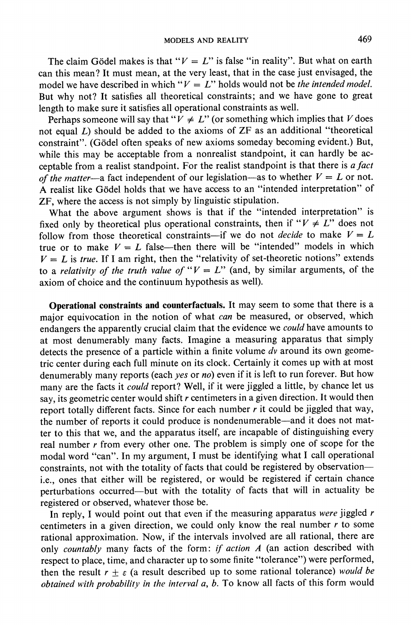The claim Gödel makes is that " $V = L$ " is false "in reality". But what on earth **can this mean? It must mean, at the very least, that in the case just envisaged, the**  model we have described in which " $V = L$ " holds would not be *the intended model*. **But why not? It satisfies all theoretical constraints; and we have gone to great length to make sure it satisfies all operational constraints as well.** 

Perhaps someone will say that " $\hat{V} \neq L$ " (or something which implies that V does **not equal L) should be added to the axioms of ZF as an additional "theoretical**  constraint". (Gödel often speaks of new axioms someday becoming evident.) But, **while this may be acceptable from a nonrealist standpoint, it can hardly be acceptable from a realist standpoint. For the realist standpoint is that there is a fact**  of the matter-a fact independent of our legislation-as to whether  $V = L$  or not. **A realist like Gddel holds that we have access to an "intended interpretation" of ZF, where the access is not simply by linguistic stipulation.** 

**What the above argument shows is that if the "intended interpretation" is**  fixed only by theoretical plus operational constraints, then if " $V \neq L$ " does not follow from those theoretical constraints—if we do not *decide* to make  $V = L$ true or to make  $V = L$  false—then there will be "intended" models in which  $V = L$  is *true*. If I am right, then the "relativity of set-theoretic notions" extends to a *relativity of the truth value of* " $V = L$ " (and, by similar arguments, of the **axiom of choice and the continuum hypothesis as well).** 

**Operational constraints and counterfactuals. It may seem to some that there is a major equivocation in the notion of what can be measured, or observed, which endangers the apparently crucial claim that the evidence we could have amounts to at most denumerably many facts. Imagine a measuring apparatus that simply detects the presence of a particle within a finite volume dv around its own geometric center during each full minute on its clock. Certainly it comes up with at most denumerably many reports (each yes or no) even if it is left to run forever. But how many are the facts it could report? Well, if it were jiggled a little, by chance let us say, its geometric center would shift r centimeters in a given direction. It would then report totally different facts. Since for each number r it could be jiggled that way, the number of reports it could produce is nondenumerable-and it does not matter to this that we, and the apparatus itself, are incapable of distinguishing every real number r from every other one. The problem is simply one of scope for the modal word "can". In my argument, I must be identifying what I call operational constraints, not with the totality of facts that could be registered by observationi.e., ones that either will be registered, or would be registered if certain chance perturbations occurred-but with the totality of facts that will in actuality be registered or observed, whatever those be.** 

**In reply, I would point out that even if the measuring apparatus were jiggled r**  centimeters in a given direction, we could only know the real number  $r$  to some **rational approximation. Now, if the intervals involved are all rational, there are only countably many facts of the form: if action A (an action described with respect to place, time, and character up to some finite "tolerance") were performed,**  then the result  $r \pm \varepsilon$  (a result described up to some rational tolerance) would be **obtained with probability in the interval a, b. To know all facts of this form would**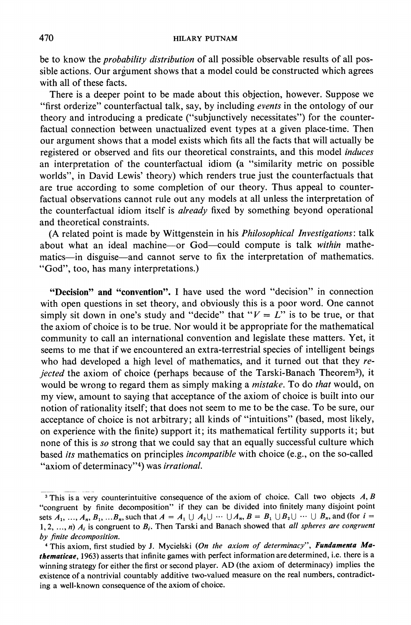## **470 HILARY PUTNAM**

**be to know the probability distribution of all possible observable results of all possible actions. Our argument shows that a model could be constructed which agrees with all of these facts.** 

**There is a deeper point to be made about this objection, however. Suppose we "first orderize" counterfactual talk, say, by including events in the ontology of our theory and introducing a predicate ("subjunctively necessitates") for the counterfactual connection between unactualized event types at a given place-time. Then our argument shows that a model exists which fits all the facts that will actually be registered or observed and fits our theoretical constraints, and this model induces an interpretation of the counterfactual idiom (a "similarity metric on possible worlds", in David Lewis' theory) which renders true just the counterfactuals that are true according to some completion of our theory. Thus appeal to counterfactual observations cannot rule out any models at all unless the interpretation of the counterfactual idiom itself is already fixed by something beyond operational and theoretical constraints.** 

**(A related point is made by Wittgenstein in his Philosophical Investigations: talk**  about what an ideal machine-or God-could compute is talk within mathematics-in disguise-and cannot serve to fix the interpretation of mathematics. **"God", too, has many interpretations.)** 

**"Decision" and "convention". I have used the word "decision" in connection with open questions in set theory, and obviously this is a poor word. One cannot**  simply sit down in one's study and "decide" that " $V = L$ " is to be true, or that **the axiom of choice is to be true. Nor would it be appropriate for the mathematical community to call an international convention and legislate these matters. Yet, it seems to me that if we encountered an extra-terrestrial species of intelligent beings who had developed a high level of mathematics, and it turned out that they rejected the axiom of choice (perhaps because of the Tarski-Banach Theorem3), it would be wrong to regard them as simply making a mistake. To do that would, on my view, amount to saying that acceptance of the axiom of choice is built into our notion of rationality itself; that does not seem to me to be the case. To be sure, our acceptance of choice is not arbitrary; all kinds of "intuitions" (based, most likely, on experience with the finite) support it; its mathematical fertility supports it; but none of this is so strong that we could say that an equally successful culture which based its mathematics on principles incompatible with choice (e.g., on the so-called "axiom of determinacy"4) was irrational.** 

<sup>&</sup>lt;sup>3</sup> This is a very counterintuitive consequence of the axiom of choice. Call two objects A, B **"congruent by finite decomposition" if they can be divided into finitely many disjoint point**  sets  $A_1, ..., A_n, B_1, ...B_n$ , such that  $A = A_1 \cup A_2 \cup ... \cup A_n$ ,  $B = B_1 \cup B_2 \cup ... \cup B_n$ , and (for  $i =$ 1, 2, ...,  $n$ )  $A_i$  is congruent to  $B_i$ . Then Tarski and Banach showed that *all spheres are congruent* **by finite decomposition.** 

<sup>&</sup>lt;sup>4</sup> This axiom, first studied by J. Mycielski (On the axiom of determinacy", Fundamenta Ma**thematicae, 1963) asserts that infinite games with perfect information are determined, i.e. there is a winning strategy for either the first or second player. AD (the axiom of determinacy) implies the existence of a nontrivial countably additive two-valued measure on the real numbers, contradicting a well-known consequence of the axiom of choice.**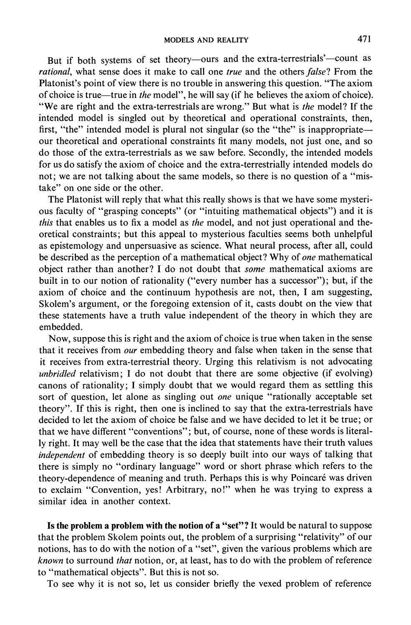But if both systems of set theory-ours and the extra-terrestrials'-count as **rational, what sense does it make to call one true and the others false? From the Platonist's point of view there is no trouble in answering this question. "The axiom of choice is true-true in the model", he will say (if he believes the axiom of choice). "We are right and the extra-terrestrials are wrong." But what is the model? If the intended model is singled out by theoretical and operational constraints, then,**  first, "the" intended model is plural not singular (so the "the" is inappropriate **our theoretical and operational constraints fit many models, not just one, and so do those of the extra-terrestrials as we saw before. Secondly, the intended models for us do satisfy the axiom of choice and the extra-terrestrially intended models do not; we are not talking about the same models, so there is no question of a "mistake" on one side or the other.** 

**The Platonist will reply that what this really shows is that we have some mysterious faculty of "grasping concepts" (or "intuiting mathematical objects") and it is this that enables us to fix a model as the model, and not just operational and theoretical constraints; but this appeal to mysterious faculties seems both unhelpful as epistemology and unpersuasive as science. What neural process, after all, could be described as the perception of a mathematical object? Why of one mathematical object rather than another? I do not doubt that some mathematical axioms are built in to our notion of rationality ("every number has a successor"); but, if the axiom of choice and the continuum hypothesis are not, then, I am suggesting, Skolem's argument, or the foregoing extension of it, casts doubt on the view that these statements have a truth value independent of the theory in which they are embedded.** 

**Now, suppose this is right and the axiom of choice is true when taken in the sense that it receives from our embedding theory and false when taken in the sense that it receives from extra-terrestrial theory. Urging this relativism is not advocating unbridled relativism; I do not doubt that there are some objective (if evolving) canons of rationality; I simply doubt that we would regard them as settling this sort of question, let alone as singling out one unique "rationally acceptable set theory". If this is right, then one is inclined to say that the extra-terrestrials have decided to let the axiom of choice be false and we have decided to let it be true; or that we have different "conventions"; but, of course, none of these words is literally right. It may well be the case that the idea that statements have their truth values independent of embedding theory is so deeply built into our ways of talking that there is simply no "ordinary language" word or short phrase which refers to the theory-dependence of meaning and truth. Perhaps this is why Poincare was driven to exclaim "Convention, yes! Arbitrary, no!" when he was trying to express a similar idea in another context.** 

**Is the problem a problem with the notion of a "set"? It would be natural to suppose that the problem Skolem points out, the problem of a surprising "relativity" of our notions, has to do with the notion of a "set", given the various problems which are known to surround that notion, or, at least, has to do with the problem of reference to "mathematical objects". But this is not so.** 

**To see why it is not so, let us consider briefly the vexed problem of reference**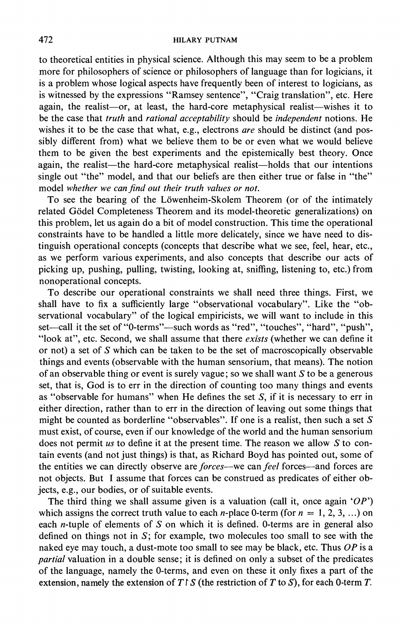**to theoretical entities in physical science. Although this may seem to be a problem more for philosophers of science or philosophers of language than for logicians, it is a problem whose logical aspects have frequently been of interest to logicians, as is witnessed by the expressions "Ramsey sentence", "Craig translation", etc. Here**  again, the realist-or, at least, the hard-core metaphysical realist-wishes it to **be the case that truth and rational acceptability should be independent notions. He wishes it to be the case that what, e.g., electrons are should be distinct (and possibly different from) what we believe them to be or even what we would believe them to be given the best experiments and the epistemically best theory. Once**  again, the realist—the hard-core metaphysical realist—holds that our intentions **single out "the" model, and that our beliefs are then either true or false in "the" model whether we can find out their truth values or not.** 

To see the bearing of the Löwenheim-Skolem Theorem (or of the intimately **related Godel Completeness Theorem and its model-theoretic generalizations) on this problem, let us again do a bit of model construction. This time the operational constraints have to be handled a little more delicately, since we have need to distinguish operational concepts (concepts that describe what we see, feel, hear, etc., as we perform various experiments, and also concepts that describe our acts of picking up, pushing, pulling, twisting, looking at, sniffing, listening to, etc.) from nonoperational concepts.** 

**To describe our operational constraints we shall need three things. First, we shall have to fix a sufficiently large "observational vocabulary". Like the "observational vocabulary" of the logical empiricists, we will want to include in this**  set—call it the set of "0-terms"—such words as "red", "touches", "hard", "push", **"look at", etc. Second, we shall assume that there exists (whether we can define it or not) a set of S which can be taken to be the set of macroscopically observable things and events (observable with the human sensorium, that means). The notion of an observable thing or event is surely vague; so we shall want S to be a generous set, that is, God is to err in the direction of counting too many things and events as "observable for humans" when He defines the set S, if it is necessary to err in either direction, rather than to err in the direction of leaving out some things that might be counted as borderline "observables". If one is a realist, then such a set S must exist, of course, even if our knowledge of the world and the human sensorium does not permit us to define it at the present time. The reason we allow S to contain events (and not just things) is that, as Richard Boyd has pointed out, some of the entities we can directly observe are forces-we can feel forces-and forces are not objects. But I assume that forces can be construed as predicates of either objects, e.g., our bodies, or of suitable events.** 

**The third thing we shall assume given is a valuation (call it, once again 'OP')**  which assigns the correct truth value to each *n*-place 0-term (for  $n = 1, 2, 3, ...$ ) on **each n-tuple of elements of S on which it is defined. 0-terms are in general also defined on things not in S; for example, two molecules too small to see with the naked eye may touch, a dust-mote too small to see may be black, etc. Thus OP is a partial valuation in a double sense; it is defined on only a subset of the predicates of the language, namely the 0-terms, and even on these it only fixes a part of the**  extension, namely the extension of  $T \upharpoonright S$  (the restriction of  $T$  to  $S$ ), for each 0-term  $T$ .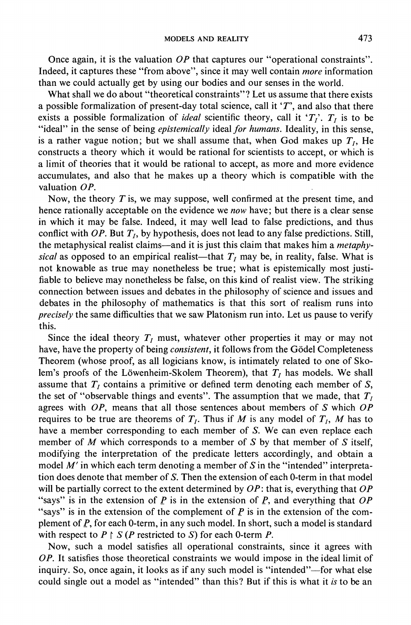**Once again, it is the valuation OP that captures our "operational constraints". Indeed, it captures these "from above", since it may well contain more information than we could actually get by using our bodies and our senses in the world.** 

**What shall we do about "theoretical constraints"? Let us assume that there exists a possible formalization of present-day total science, call it 'T', and also that there**  exists a possible formalization of *ideal* scientific theory, call it ' $T_l$ '.  $T_l$  is to be **"ideal" in the sense of being epistemically ideal for humans. Ideality, in this sense,**  is a rather vague notion; but we shall assume that, when God makes up  $T<sub>I</sub>$ , He **constructs a theory which it would be rational for scientists to accept, or which is a limit of theories that it would be rational to accept, as more and more evidence accumulates, and also that he makes up a theory which is compatible with the valuation OP.** 

**Now, the theory T is, we may suppose, well confirmed at the present time, and hence rationally acceptable on the evidence we now have; but there is a clear sense in which it may be false. Indeed, it may well lead to false predictions, and thus**  conflict with OP. But  $T_I$ , by hypothesis, does not lead to any false predictions. Still, **the metaphysical realist claims-and it is just this claim that makes him a metaphy***sical* as opposed to an empirical realist—that  $T<sub>I</sub>$  may be, in reality, false. What is **not knowable as true may nonetheless be true; what is epistemically most justifiable to believe may nonetheless be false, on this kind of realist view. The striking connection between issues and debates in the philosophy of science and issues and debates in the philosophy of mathematics is that this sort of realism runs into precisely the same difficulties that we saw Platonism run into. Let us pause to verify this.** 

Since the ideal theory  $T<sub>I</sub>$  must, whatever other properties it may or may not have, have the property of being *consistent*, it follows from the Gödel Completeness **Theorem (whose proof, as all logicians know, is intimately related to one of Sko**lem's proofs of the Löwenheim-Skolem Theorem), that  $T_I$  has models. We shall assume that  $T<sub>I</sub>$  contains a primitive or defined term denoting each member of  $S<sub>1</sub>$ the set of "observable things and events". The assumption that we made, that  $T<sub>I</sub>$ **agrees with OP, means that all those sentences about members of S which OP**  requires to be true are theorems of  $T_I$ . Thus if M is any model of  $T_I$ , M has to **have a member corresponding to each member of S. We can even replace each member of M which corresponds to a member of S by that member of S itself, modifying the interpretation of the predicate letters accordingly, and obtain a model M' in which each term denoting a member of S in the "intended" interpretation does denote that member of S. Then the extension of each 0-term in that model will be partially correct to the extent determined by OP: that is, everything that OP**  "says" is in the extension of  $P$  is in the extension of  $P$ , and everything that OP "says" is in the extension of the complement of  $P$  is in the extension of the com**plement of P. for each 0-term, in any such model. In short, such a model is standard**  with respect to  $P \upharpoonright S$  (P restricted to S) for each 0-term P.

**Now, such a model satisfies all operational constraints, since it agrees with OP. It satisfies those theoretical constraints we would impose in the ideal limit of**  inquiry. So, once again, it looks as if any such model is "intended"—for what else **could single out a model as "intended" than this? But if this is what it is to be an**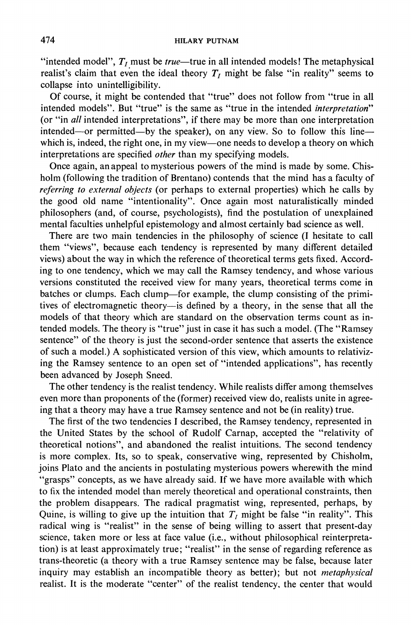"intended model",  $T_I$  must be *true*—true in all intended models! The metaphysical realist's claim that even the ideal theory  $T<sub>t</sub>$  might be false "in reality" seems to **collapse into unintelligibility.** 

**Of course, it might be contended that "true" does not follow from "true in all intended models". But "true" is the same as "true in the intended interpretation" (or "in all intended interpretations", if there may be more than one interpretation**  intended—or permitted—by the speaker), on any view. So to follow this line which is, indeed, the right one, in my view-one needs to develop a theory on which **interpretations are specified other than my specifying models.** 

**Once again, an appeal to mysterious powers of the mind is made by some. Chisholm (following the tradition of Brentano) contends that the mind has a faculty of referring to external objects (or perhaps to external properties) which he calls by the good old name "intentionality". Once again most naturalistically minded philosophers (and, of course, psychologists), find the postulation of unexplained mental faculties unhelpful epistemology and almost certainly bad science as well.** 

**There are two main tendencies in the philosophy of science (I hesitate to call them "views", because each tendency is represented by many different detailed views) about the way in which the reference of theoretical terms gets fixed. According to one tendency, which we may call the Ramsey tendency, and whose various versions constituted the received view for many years, theoretical terms come in batches or clumps. Each clump-for example, the clump consisting of the primitives of electromagnetic theory-is defined by a theory, in the sense that all the models of that theory which are standard on the observation terms count as intended models. The theory is "true" just in case it has such a model. (The "Ramsey sentence" of the theory is just the second-order sentence that asserts the existence of such a model.) A sophisticated version of this view, which amounts to relativizing the Ramsey sentence to an open set of "intended applications", has recently been advanced by Joseph Sneed.** 

**The other tendency is the realist tendency. While realists differ among themselves even more than proponents of the (former) received view do, realists unite in agreeing that a theory may have a true Ramsey sentence and not be (in reality) true.** 

**The first of the two tendencies I described, the Ramsey tendency, represented in the United States by the school of Rudolf Carnap, accepted the "relativity of theoretical notions", and abandoned the realist intuitions. The second tendency is more complex. Its, so to speak, conservative wing, represented by Chisholm, joins Plato and the ancients in postulating mysterious powers wherewith the mind "grasps" concepts, as we have already said. If we have more available with which to fix the intended model than merely theoretical and operational constraints, then the problem disappears. The radical pragmatist wing, represented, perhaps, by**  Quine, is willing to give up the intuition that  $T<sub>I</sub>$  might be false "in reality". This **radical wing is "realist" in the sense of being willing to assert that present-day science, taken more or less at face value (i.e., without philosophical reinterpretation) is at least approximately true; "realist" in the sense of regarding reference as trans-theoretic (a theory with a true Ramsey sentence may be false, because later inquiry may establish an incompatible theory as better); but not metaphysical realist. It is the moderate "center" of the realist tendency, the center that would**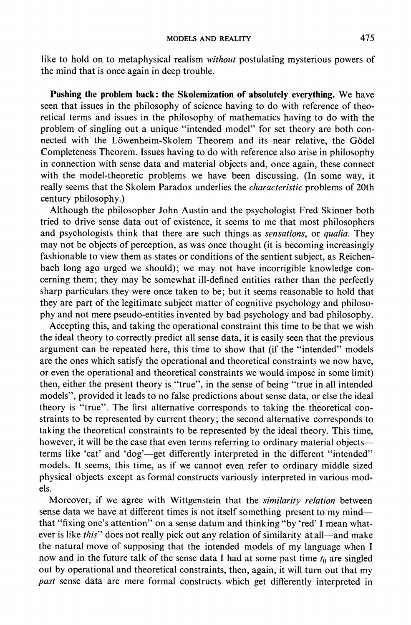**like to hold on to metaphysical realism without postulating mysterious powers of the mind that is once again in deep trouble.** 

**Pushing the problem back: the Skolemization of absolutely everything. We have seen that issues in the philosophy of science having to do with reference of theoretical terms and issues in the philosophy of mathematics having to do with the problem of singling out a unique "intended model" for set theory are both con**nected with the Löwenheim-Skolem Theorem and its near relative, the Gödel **Completeness Theorem. Issues having to do with reference also arise in philosophy in connection with sense data and material objects and, once again, these connect**  with the model-theoretic problems we have been discussing. (In some way, it **really seems that the Skolem Paradox underlies the characteristic problems of 20th century philosophy.)** 

**Although the philosopher John Austin and the psychologist Fred Skinner both tried to drive sense data out of existence, it seems to me that most philosophers and psychologists think that there are such things as sensations, or qualia. They may not be objects of perception, as was once thought (it is becoming increasingly fashionable to view them as states or conditions of the sentient subject, as Reichenbach long ago urged we should); we may not have incorrigible knowledge concerning them; they may be somewhat ill-defined entities rather than the perfectly sharp particulars they were once taken to be; but it seems reasonable to hold that they are part of the legitimate subject matter of cognitive psychology and philosophy and not mere pseudo-entities invented by bad psychology and bad philosophy.** 

**Accepting this, and taking the operational constraint this time to be that we wish the ideal theory to correctly predict all sense data, it is easily seen that the previous argument can be repeated here, this time to show that (if the "intended" models are the ones which satisfy the operational and theoretical constraints we now have, or even the operational and theoretical constraints we would impose in some limit) then, either the present theory is "true", in the sense of being "true in all intended models", provided it leads to no false predictions about sense data, or else the ideal theory is "true". The first alternative corresponds to taking the theoretical constraints to be represented by current theory; the second alternative corresponds to taking the theoretical constraints to be represented by the ideal theory. This time, however, it will be the case that even terms referring to ordinary material objects**terms like 'cat' and 'dog'-get differently interpreted in the different "intended" **models. It seems, this time, as if we cannot even refer to ordinary middle sized physical objects except as formal constructs variously interpreted in various models.** 

**Moreover, if we agree with Wittgenstein that the similarity relation between sense data we have at different times is not itself something present to my mindthat "fixing one's attention" on a sense datum and thinking "by 'red' I mean what**ever is like *this*" does not really pick out any relation of similarity at all—and make **the natural move of supposing that the intended models of my language when I**  now and in the future talk of the sense data I had at some past time  $t_0$  are singled **out by operational and theoretical constraints, then, again, it will turn out that my past sense data are mere formal constructs which get differently interpreted in**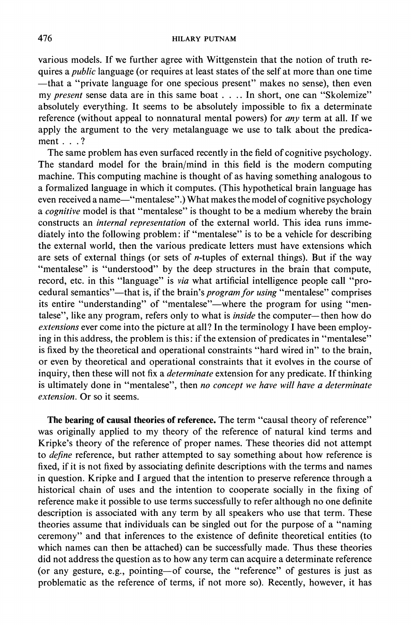**various models. If we further agree with Wittgenstein that the notion of truth requires a public language (or requires at least states of the self at more than one time -that a "private language for one specious present" makes no sense), then even my present sense data are in this same boat . . .. In short, one can "Skolemize" absolutely everything. It seems to be absolutely impossible to fix a determinate reference (without appeal to nonnatural mental powers) for any term at all. If we apply the argument to the very metalanguage we use to talk about the predicament . . . ?** 

**The same problem has even surfaced recently in the field of cognitive psychology. The standard model for the brain/mind in this field is the modern computing machine. This computing machine is thought of as having something analogous to a formalized language in which it computes. (This hypothetical brain language has**  even received a name-"mentalese".) What makes the model of cognitive psychology **a cognitive model is that "mentalese" is thought to be a medium whereby the brain constructs an internal representation of the external world. This idea runs immediately into the following problem: if "mentalese" is to be a vehicle for describing the external world, then the various predicate letters must have extensions which are sets of external things (or sets of n-tuples of external things). But if the way "mentalese" is "understood" by the deep structures in the brain that compute, record, etc. in this "language" is via what artificial intelligence people call "pro**cedural semantics"—that is, if the brain's *program for using* "mentalese" comprises its entire "understanding" of "mentalese"—where the program for using "men**talese", like any program, refers only to what is inside the computer- then how do extensions ever come into the picture at all? In the terminology I have been employing in this address, the problem is this: if the extension of predicates in "mentalese" is fixed by the theoretical and operational constraints "hard wired in" to the brain, or even by theoretical and operational constraints that it evolves in the course of inquiry, then these will not fix a determinate extension for any predicate. If thinking is ultimately done in "mentalese", then no concept we have will have a determinate extension. Or so it seems.** 

**The bearing of causal theories of reference. The term "causal theory of reference" was originally applied to my theory of the reference of natural kind terms and Kripke's theory of the reference of proper names. These theories did not attempt to define reference, but rather attempted to say something about how reference is fixed, if it is not fixed by associating definite descriptions with the terms and names in question. Kripke and I argued that the intention to preserve reference through a historical chain of uses and the intention to cooperate socially in the fixing of reference make it possible to use terms successfully to refer although no one definite description is associated with any term by all speakers who use that term. These theories assume that individuals can be singled out for the purpose of a "naming ceremony" and that inferences to the existence of definite theoretical entities (to which names can then be attached) can be successfully made. Thus these theories did not address the question as to how any term can acquire a determinate reference (or any gesture, e.g., pointing-of course, the "reference" of gestures is just as problematic as the reference of terms, if not more so). Recently, however, it has**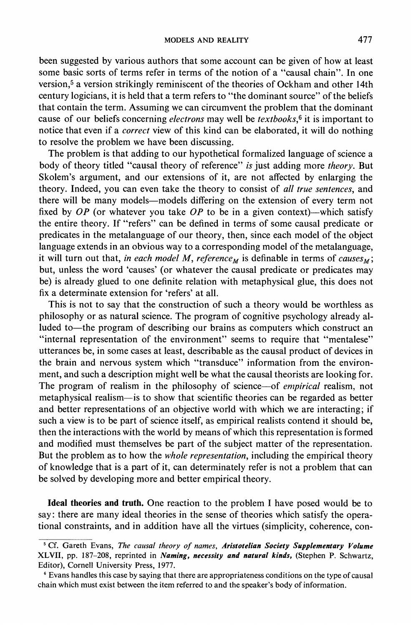**been suggested by various authors that some account can be given of how at least some basic sorts of terms refer in terms of the notion of a "causal chain". In one version,5 a version strikingly reminiscent of the theories of Ockham and other 14th century logicians, it is held that a term refers to "the dominant source" of the beliefs that contain the term. Assuming we can circumvent the problem that the dominant cause of our beliefs concerning electrons may well be textbooks,6 it is important to notice that even if a correct view of this kind can be elaborated, it will do nothing to resolve the problem we have been discussing.** 

**The problem is that adding to our hypothetical formalized language of science a body of theory titled "causal theory of reference" is just adding more theory. But Skolem's argument, and our extensions of it, are not affected by enlarging the theory. Indeed, you can even take the theory to consist of all true sentences, and there will be many models-models differing on the extension of every term not**  fixed by  $OP$  (or whatever you take  $OP$  to be in a given context)—which satisfy **the entire theory. If "refers" can be defined in terms of some causal predicate or predicates in the metalanguage of our theory, then, since each model of the object language extends in an obvious way to a corresponding model of the metalanguage,**  it will turn out that, *in each model M*, *reference*<sup> $M$ </sup> is definable in terms of *causes* $\frac{M}{M}$ ; **but, unless the word 'causes' (or whatever the causal predicate or predicates may be) is already glued to one definite relation with metaphysical glue, this does not fix a determinate extension for 'refers' at all.** 

**This is not to say that the construction of such a theory would be worthless as philosophy or as natural science. The program of cognitive psychology already al**luded to—the program of describing our brains as computers which construct an **"internal representation of the environment" seems to require that "mentalese" utterances be, in some cases at least, describable as the causal product of devices in the brain and nervous system which "transduce" information from the environment, and such a description might well be what the causal theorists are looking for.**  The program of realism in the philosophy of science-of *empirical* realism, not metaphysical realism—is to show that scientific theories can be regarded as better **and better representations of an objective world with which we are interacting; if such a view is to be part of science itself, as empirical realists contend it should be, then the interactions with the world by means of which this representation is formed and modified must themselves be part of the subject matter of the representation. But the problem as to how the whole representation, including the empirical theory of knowledge that is a part of it, can determinately refer is not a problem that can be solved by developing more and better empirical theory.** 

**Ideal theories and truth. One reaction to the problem I have posed would be to say: there are many ideal theories in the sense of theories which satisfy the operational constraints, and in addition have all the virtues (simplicity, coherence, con-**

<sup>&</sup>lt;sup>5</sup> Cf. Gareth Evans, The causal theory of names, Aristotelian Society Supplementary Volume **XLVII, pp. 187-208, reprinted in Naming, necessity and natural kinds, (Stephen P. Schwartz, Editor), Cornell University Press, 1977.** 

**<sup>6</sup>Evans handles this case by saying that there are appropriateness conditions on the type of causal chain which must exist between the item referred to and the speaker's body of information.**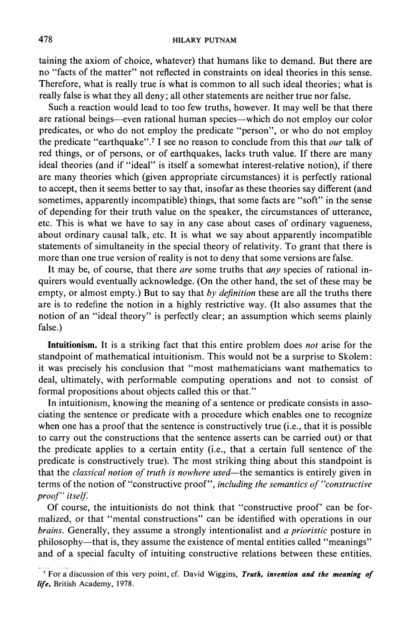taining the axiom of choice, whatever) that humans like to demand. But there are **no "facts of the matter" not reflected in constraints on ideal theories in this sense. Therefore, what is really true is what is common to all such ideal theories; what is really false is what they all deny; all other statements are neither true nor false.** 

**Such a reaction would lead to too few truths, however. It may well be that there**  are rational beings-even rational human species-which do not employ our color **predicates, or who do not employ the predicate "person", or who do not employ the predicate "earthquake".7 I see no reason to conclude from this that our talk of red things, or of persons, or of earthquakes, lacks truth value. If there are many ideal theories (and if "ideal" is itself a somewhat interest-relative notion), if there are many theories which (given appropriate circumstances) it is perfectly rational to accept, then it seems better to say that, insofar as these theories say different (and sometimes, apparently incompatible) things, that some facts are "soft" in the sense of depending for their truth value on the speaker, the circumstances of utterance, etc. This is what we have to say in any case about cases of ordinary vagueness, about ordinary causal talk, etc. It is what we say about apparently incompatible statements of simultaneity in the special theory of relativity. To grant that there is more than one true version of reality is not to deny that some versions are false.** 

**It may be, of course, that there are some truths that any species of rational inquirers would eventually acknowledge. (On the other hand, the set of these may be empty, or almost empty.) But to say that by definition these are all the truths there are is to redefine the notion in a highly restrictive way. (It also assumes that the notion of an "ideal theory" is perfectly clear; an assumption which seems plainly false.)** 

**Intuitionism. It is a striking fact that this entire problem does not arise for the standpoint of mathematical intuitionism. This would not be a surprise to Skolem: it was precisely his conclusion that "most mathematicians want mathematics to deal, ultimately, with performable computing operations and not to consist of formal propositions about objects called this or that."** 

**In intuitionism, knowing the meaning of a sentence or predicate consists in associating the sentence or predicate with a procedure which enables one to recognize when one has a proof that the sentence is constructively true (i.e., that it is possible to carry out the constructions that the sentence asserts can be carried out) or that the predicate applies to a certain entity (i.e., that a certain full sentence of the predicate is constructively true). The most striking thing about this standpoint is**  that the *classical notion of truth is nowhere used*—the semantics is entirely given in **terms of the notion of "constructive proof", including the semantics of "constructive proof" itself.** 

**Of course, the intuitionists do not think that "constructive proof' can be formalized, or that "mental constructions" can be identified with operations in our brains. Generally, they assume a strongly intentionalist and a prioristic posture in philosophy-that is, they assume the existence of mental entities called "meanings" and of a special faculty of intuiting constructive relations between these entities.** 

<sup>&</sup>lt;sup>7</sup> For a discussion of this very point, cf. David Wiggins, *Truth, invention and the meaning of* **life, British Academy, 1978.**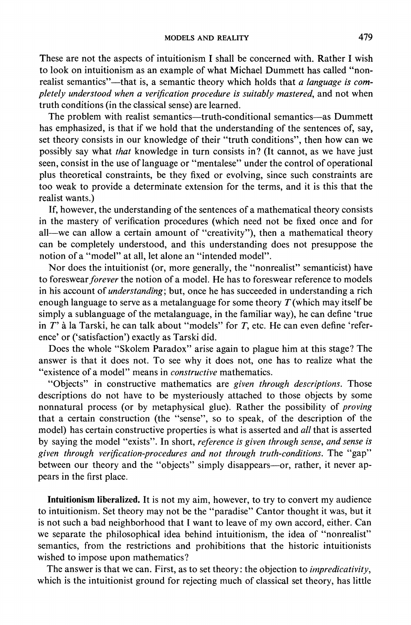**These are not the aspects of intuitionism I shall be concerned with. Rather I wish to look on intuitionism as an example of what Michael Dummett has called "non**realist semantics"—that is, a semantic theory which holds that a *language is com***pletely understood when a verification procedure is suitably mastered, and not when truth conditions (in the classical sense) are learned.** 

**The problem with realist semantics-truth-conditional semantics-as Dummett has emphasized, is that if we hold that the understanding of the sentences of, say, set theory consists in our knowledge of their "truth conditions", then how can we possibly say what that knowledge in turn consists in? (It cannot, as we have just seen, consist in the use of language or "mentalese" under the control of operational plus theoretical constraints, be they fixed or evolving, since such constraints are too weak to provide a determinate extension for the terms, and it is this that the realist wants.)** 

**If, however, the understanding of the sentences of a mathematical theory consists in the mastery of verification procedures (which need not be fixed once and for all-we can allow a certain amount of "creativity"), then a mathematical theory can be completely understood, and this understanding does not presuppose the notion of a "model" at all, let alone an "intended model".** 

**Nor does the intuitionist (or, more generally, the "nonrealist" semanticist) have**  to foreswear *forever* the notion of a model. He has to foreswear reference to models **in his account of understanding; but, once he has succeeded in understanding a rich enough language to serve as a metalanguage for some theory T (which may itself be simply a sublanguage of the metalanguage, in the familiar way), he can define 'true**  in T' à la Tarski, he can talk about "models" for T, etc. He can even define 'refer**ence' or ('satisfaction') exactly as Tarski did.** 

**Does the whole "Skolem Paradox" arise again to plague him at this stage? The answer is that it does not. To see why it does not, one has to realize what the "existence of a model" means in constructive mathematics.** 

**"Objects" in constructive mathematics are given through descriptions. Those descriptions do not have to be mysteriously attached to those objects by some nonnatural process (or by metaphysical glue). Rather the possibility of proving that a certain construction (the "sense", so to speak, of the description of the model) has certain constructive properties is what is asserted and all that is asserted by saying the model "exists". In short, reference is given through sense, and sense is given through verification-procedures and not through truth-conditions. The "gap"**  between our theory and the "objects" simply disappears—or, rather, it never ap**pears in the first place.** 

**Intuitionism liberalized. It is not my aim, however, to try to convert my audience to intuitionism. Set theory may not be the "paradise" Cantor thought it was, but it is not such a bad neighborhood that I want to leave of my own accord, either. Can we separate the philosophical idea behind intuitionism, the idea of "nonrealist" semantics, from the restrictions and prohibitions that the historic intuitionists wished to impose upon mathematics?** 

**The answer is that we can. First, as to set theory: the objection to impredicativity, which is the intuitionist ground for rejecting much of classical set theory, has little**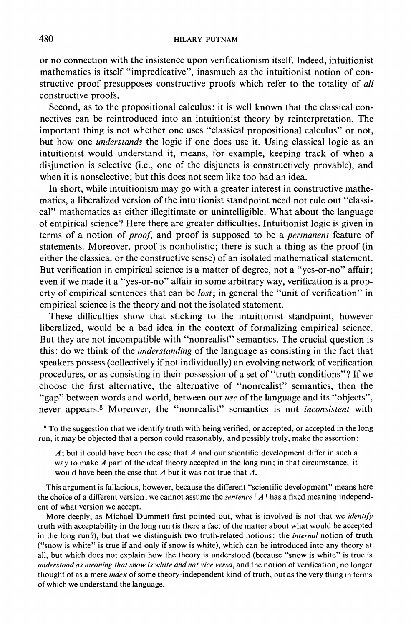## **480 HILARY PUTNAM**

**or no connection with the insistence upon verificationism itself. Indeed, intuitionist mathematics is itself "impredicative", inasmuch as the intuitionist notion of constructive proof presupposes constructive proofs which refer to the totality of all constructive proofs.** 

**Second, as to the propositional calculus: it is well known that the classical connectives can be reintroduced into an intuitionist theory by reinterpretation. The important thing is not whether one uses "classical propositional calculus" or not, but how one understands the logic if one does use it. Using classical logic as an intuitionist would understand it, means, for example, keeping track of when a disjunction is selective (i.e., one of the disjuncts is constructively provable), and when it is nonselective; but this does not seem like too bad an idea.** 

**In short, while intuitionism may go with a greater interest in constructive mathematics, a liberalized version of the intuitionist standpoint need not rule out "classical" mathematics as either illegitimate or unintelligible. What about the language of empirical science? Here there are greater difficulties. Intuitionist logic is given in terms of a notion of proof, and proof is supposed to be a permanent feature of statements. Moreover, proof is nonholistic; there is such a thing as the proof (in either the classical or the constructive sense) of an isolated mathematical statement. But verification in empirical science is a matter of degree, not a "yes-or-no" affair; even if we made it a "yes-or-no" affair in some arbitrary way, verification is a property of empirical sentences that can be lost; in general the "unit of verification" in empirical science is the theory and not the isolated statement.** 

**These difficulties show that sticking to the intuitionist standpoint, however liberalized, would be a bad idea in the context of formalizing empirical science. But they are not incompatible with "nonrealist" semantics. The crucial question is this: do we think of the understanding of the language as consisting in the fact that speakers possess (collectively if not individually) an evolving network of verification procedures, or as consisting in their possession of a set of "truth conditions" ? If we choose the first alternative, the alternative of "nonrealist" semantics, then the "gap" between words and world, between our use of the language and its "objects", never appears.8 Moreover, the "nonrealist" semantics is not inconsistent with** 

**<sup>8</sup>To the suggestion that we identify truth with being verified, or accepted, or accepted in the long run, it may be objected that a person could reasonably, and possibly truly, make the assertion:** 

**This argument is fallacious, however, because the different "scientific development" means here**  the choice of a different version; we cannot assume the *sentence*  $\lceil A \rceil$  has a fixed meaning independ**ent of what version we accept.** 

**More deeply, as Michael Dummett first pointed out, what is involved is not that we identify truth with acceptability in the long run (is there a fact of the matter about what would be accepted**  in the long run?), but that we distinguish two truth-related notions: the *internal* notion of truth **("snow is white" is true if and only if snow is white), which can be introduced into any theory at all, but which does not explain how the theory is understood (because "snow is white" is true is understood as meaning that snow is white and not vice versa, and the notion of verification, no longer thought of as a mere index of some theory-independent kind of truth, but as the very thing in terms of which we understand the language.** 

**A; but it could have been the case that A and our scientific development differ in such a**  way to make  $\bar{A}$  part of the ideal theory accepted in the long run; in that circumstance, it **would have been the case that A but it was not true that A.**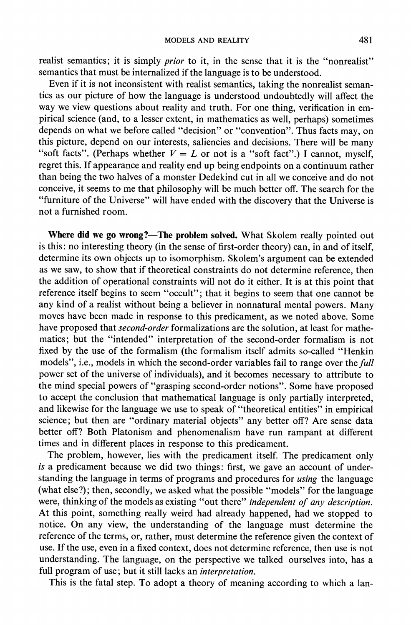**realist semantics; it is simply prior to it, in the sense that it is the "nonrealist" semantics that must be internalized if the language is to be understood.** 

**Even if it is not inconsistent with realist semantics, taking the nonrealist semantics as our picture of how the language is understood undoubtedly will affect the way we view questions about reality and truth. For one thing, verification in empirical science (and, to a lesser extent, in mathematics as well, perhaps) sometimes depends on what we before called "decision" or "convention". Thus facts may, on this picture, depend on our interests, saliencies and decisions. There will be many**  "soft facts". (Perhaps whether  $V = L$  or not is a "soft fact".) I cannot, myself, **regret this. If appearance and reality end up being endpoints on a continuum rather than being the two halves of a monster Dedekind cut in all we conceive and do not conceive, it seems to me that philosophy will be much better off. The search for the "furniture of the Universe" will have ended with the discovery that the Universe is not a furnished room.** 

Where did we go wrong?—The problem solved. What Skolem really pointed out **is this: no interesting theory (in the sense of first-order theory) can, in and of itself, determine its own objects up to isomorphism. Skolem's argument can be extended as we saw, to show that if theoretical constraints do not determine reference, then the addition of operational constraints will not do it either. It is at this point that reference itself begins to seem "occult"; that it begins to seem that one cannot be any kind of a realist without being a believer in nonnatural mental powers. Many moves have been made in response to this predicament, as we noted above. Some have proposed that second-order formalizations are the solution, at least for mathematics; but the "intended" interpretation of the second-order formalism is not fixed by the use of the formalism (the formalism itself admits so-called "Henkin models", i.e., models in which the second-order variables fail to range over the full power set of the universe of individuals), and it becomes necessary to attribute to the mind special powers of "grasping second-order notions". Some have proposed to accept the conclusion that mathematical language is only partially interpreted, and likewise for the language we use to speak of "theoretical entities" in empirical science; but then are "ordinary material objects" any better off? Are sense data better off? Both Platonism and phenomenalism have run rampant at different times and in different places in response to this predicament.** 

**The problem, however, lies with the predicament itself. The predicament only is a predicament because we did two things: first, we gave an account of understanding the language in terms of programs and procedures for using the language (what else?); then, secondly, we asked what the possible "models" for the language were, thinking of the models as existing "out there" independent of any description. At this point, something really weird had already happened, had we stopped to notice. On any view, the understanding of the language must determine the reference of the terms, or, rather, must determine the reference given the context of use. If the use, even in a fixed context, does not determine reference, then use is not understanding. The language, on the perspective we talked ourselves into, has a full program of use; but it still lacks an interpretation.** 

**This is the fatal step. To adopt a theory of meaning according to which a lan-**